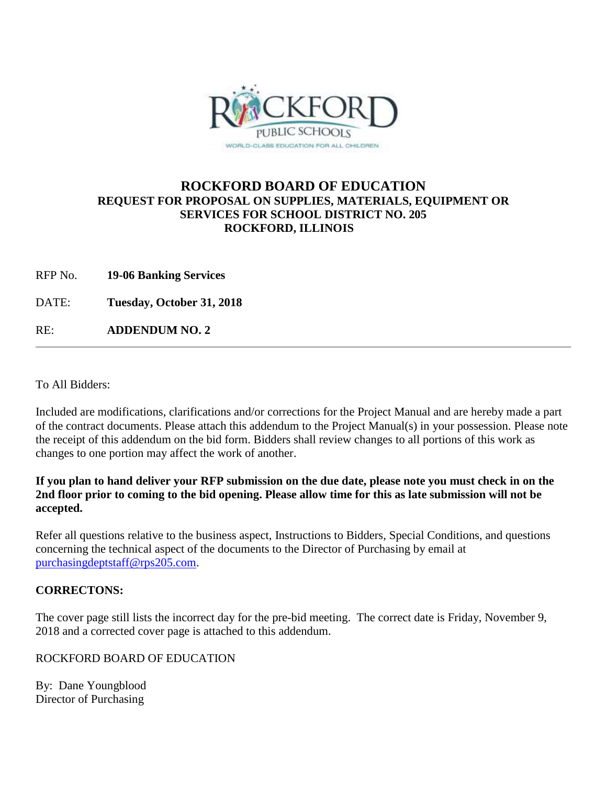

# **ROCKFORD BOARD OF EDUCATION REQUEST FOR PROPOSAL ON SUPPLIES, MATERIALS, EQUIPMENT OR SERVICES FOR SCHOOL DISTRICT NO. 205 ROCKFORD, ILLINOIS**

RFP No. **19-06 Banking Services**

DATE: **Tuesday, October 31, 2018**

RE: **ADDENDUM NO. 2**

To All Bidders:

Included are modifications, clarifications and/or corrections for the Project Manual and are hereby made a part of the contract documents. Please attach this addendum to the Project Manual(s) in your possession. Please note the receipt of this addendum on the bid form. Bidders shall review changes to all portions of this work as changes to one portion may affect the work of another.

#### **If you plan to hand deliver your RFP submission on the due date, please note you must check in on the 2nd floor prior to coming to the bid opening. Please allow time for this as late submission will not be accepted.**

Refer all questions relative to the business aspect, Instructions to Bidders, Special Conditions, and questions concerning the technical aspect of the documents to the Director of Purchasing by email at [purchasingdeptstaff@rps205.com.](mailto:purchasingdeptstaff@rps205.com)

## **CORRECTONS:**

The cover page still lists the incorrect day for the pre-bid meeting. The correct date is Friday, November 9, 2018 and a corrected cover page is attached to this addendum.

## ROCKFORD BOARD OF EDUCATION

By: Dane Youngblood Director of Purchasing